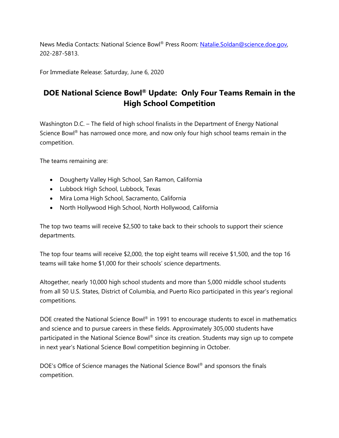News Media Contacts: National Science Bowl® Press Room: [Natalie.Soldan@science.doe.gov,](mailto:Natalie.Soldan@science.doe.gov)  202-287-5813.

For Immediate Release: Saturday, June 6, 2020

## **DOE National Science Bowl® Update: Only Four Teams Remain in the High School Competition**

Washington D.C. – The field of high school finalists in the Department of Energy National Science Bowl<sup>®</sup> has narrowed once more, and now only four high school teams remain in the competition.

The teams remaining are:

- Dougherty Valley High School, San Ramon, California
- Lubbock High School, Lubbock, Texas
- Mira Loma High School, Sacramento, California
- North Hollywood High School, North Hollywood, California

The top two teams will receive \$2,500 to take back to their schools to support their science departments.

The top four teams will receive \$2,000, the top eight teams will receive \$1,500, and the top 16 teams will take home \$1,000 for their schools' science departments.

Altogether, nearly 10,000 high school students and more than 5,000 middle school students from all 50 U.S. States, District of Columbia, and Puerto Rico participated in this year's regional competitions.

DOE created the National Science Bowl® in 1991 to encourage students to excel in mathematics and science and to pursue careers in these fields. Approximately 305,000 students have participated in the National Science Bowl® since its creation. Students may sign up to compete in next year's National Science Bowl competition beginning in October.

DOE's Office of Science manages the National Science Bowl® and sponsors the finals competition.